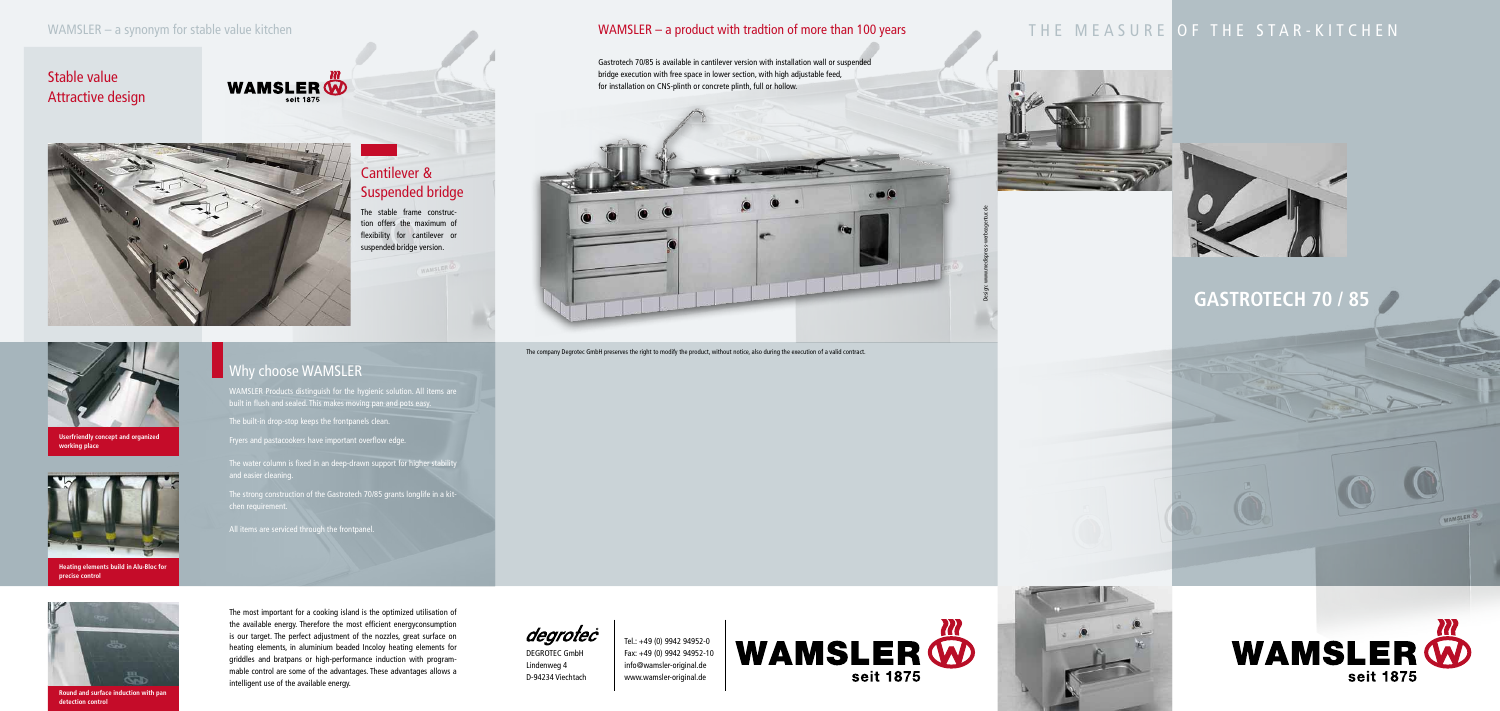# **GASTROTECH 70 / 85**





DEGROTEC GmbH Lindenweg 4 D-94234 Viechtach

Tel.: +49 (0) 9942 94952-0 Fax: +49 (0) 9942 94952-10 info@wamsler-original.de www.wamsler-original.de



The company Degrotec GmbH preserves the right to modify the product, without notice, also during the execution of a valid contract.

Design: www.medispress-werbeagentur.de



**Userfriendly concept and organized working place**



**Heating elements build in Alu-Bloc for precise control**



**Round and surface induction with pan detection control**

# Why choose WAMSLER

### WAMSLER – a product with tradtion of more than 100 years

## Stable value Attractive design





## Cantilever & Suspended bridge

The stable frame construction offers the maximum of flexibility for cantilever or suspended bridge version.

Gastrotech 70/85 is available in cantilever version with installation wall or suspended bridge execution with free space in lower section, with high adjustable feed, for installation on CNS-plinth or concrete plinth, full or hollow.



# THE MEASURE OF THE STAR-KITCHEN



WAMSLER Products distinguish for the hygienic solution. All items are built in flush and sealed. This makes moving pan and pots easy.

The built-in drop-stop keeps the frontpanels clean.

Fryers and pastacookers have important overflow edge.

The water column is fixed in an deep-drawn support for higher stability

The strong construction of the Gastrotech 70/85 grants longlife in a kit-

All items are serviced through the frontpanel.

The most important for a cooking island is the optimized utilisation of the available energy. Therefore the most efficient energyconsumption is our target. The perfect adjustment of the nozzles, great surface on heating elements, in aluminium beaded Incoloy heating elements for griddles and bratpans or high-performance induction with programmable control are some of the advantages. These advantages allows a intelligent use of the available energy.

degrotec